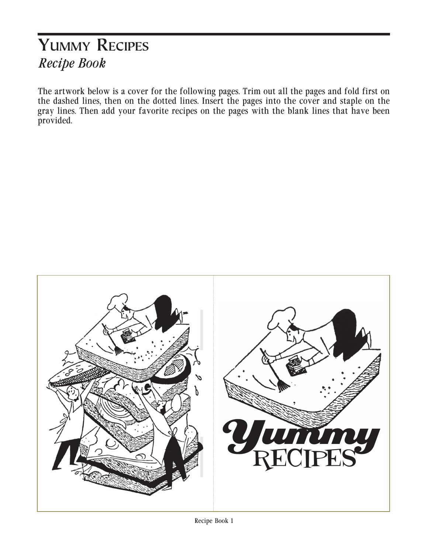# **Yummy Recipes** *Recipe Book*

The artwork below is a cover for the following pages. Trim out all the pages and fold first on the dashed lines, then on the dotted lines. Insert the pages into the cover and staple on the gray lines. Then add your favorite recipes on the pages with the blank lines that have been provided.

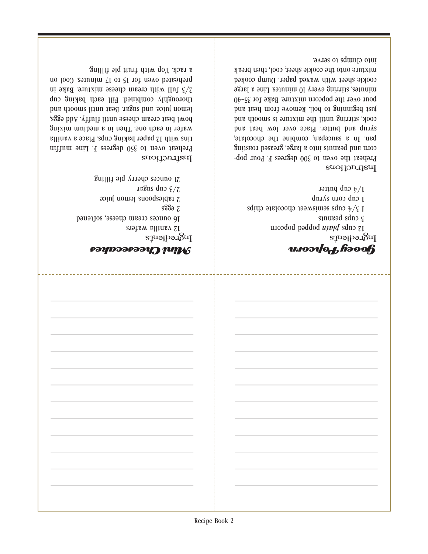## $u$ noo $\mathbf{h}_d$ , hooof Ingredients

puoped poddod *uivid* sdno 71 sinured sdno  $\zeta$ 1 3/4 cups semisweet chocolate chips 1 cup corn syrup 1911 qubiter

Preheat the oven to 300 degrees F. Pour pop-<br>Preheat the oven to 300 degrees F. Pour popcorn and peanuts into a large, greased roasting pan. In a saucepan, combine the chocolate, syrup and butter. Place over low heat and cook, stirring until the mixture is smooth and just beginning to boil. Remove from heat and pour over the popcorn mixture. Bake for 35–40 minutes, stirring every 10 minutes. Line a large cookie sheet with waxed paper. Dump cooked mixture onto the cookie sheet, cool, then break

into clumps to serve.

Instructions Preheat oven to 350 degrees F. Line muffin tins with 12 paper baking cups. Place a vanilla wafer in each one. Then in a medium mixing bowl beat cream cheese until fluffy. Add eggs, lemon juice, and sugar. Beat until smooth and thoroughly combined. Fill each baking cup 2/3 full with cream cheese mixture. Bake in preheated oven for 15 to 17 minutes. Cool on a rack. Top with fruit pie filling.

Mini Cheesecakes

2 tablespoons lemon juice

21 ounces cherry pie filling

16 ounces cream cheese, softened

12 vanilla wafers

 $\mu$ 8 ans dno  $\frac{\xi}{\zeta}$ 

Ingredients

 $s\bar{s}\bar{s}$  $\bar{s}$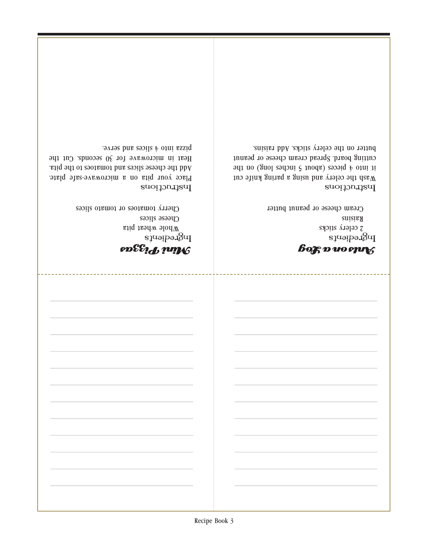### Mini Pizzas  $\operatorname{supp}$ r $\operatorname{supp}$

Whole wheat pita Cheese slices Cherry tomatoes or tomato slices

#### Instructions

Place your pita on a microwave-safe plate. Add the cheese slices and tomatoes to the pita. Heat in microwave for 30 seconds. Cut the pizza into 4 slices and serve.

## $\boldsymbol{\mathit{log}}$ n voorn $\boldsymbol{\mathit{G}}$

Ingredients 2 celery sticks Raisins Cream cheese or peanut butter

#### Instructions

Wash the celery and using a paring knife cut it into 4 pieces (about 5 inches long) on the cutting board. Spread cream cheese or peanut butter on the celery sticks. Add raisins.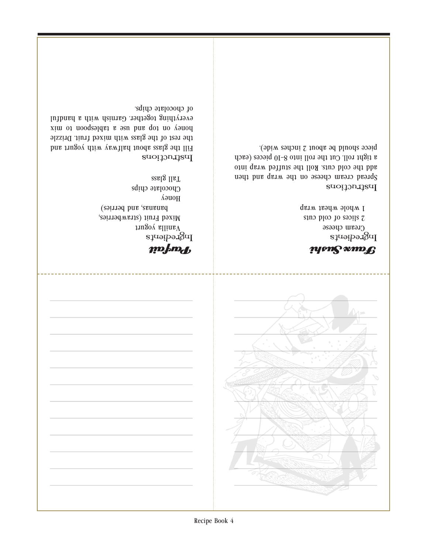## mpm*d*

Ingredients Vanilla yogurt Mixed Fruit (strawberries, bananas, and berries) Honey Chocolate chips Tall glass

#### Instructions

Fill the glass about halfway with yogurt and the rest of the glass with mixed fruit. Drizzle honey on top and use a tablespoon to mix everything together. Garnish with a handful of chocolate chips.

## port of the substant

Ingredients Cream cheese 2 slices of cold cuts 1 whole wheat wrap

#### Instructions

Spread cream cheese on the wrap and then add the cold cuts. Boll the stuffed wrap into a tight roll. Cut the roll into 8–10 pieces (each piece should be about 2 inches wide).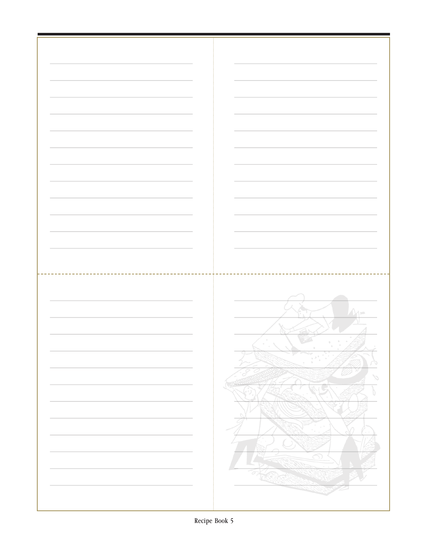